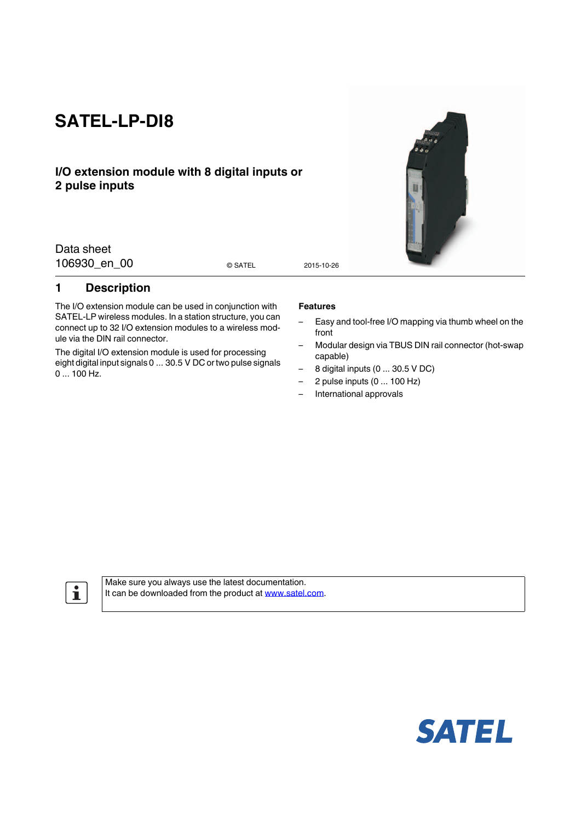# **SATEL-LP-DI8**

## **I/O extension module with 8 digital inputs or 2 pulse inputs**

Data sheet 106930 en 00 0 satel 2015-10-26

© SATEL

## <span id="page-0-0"></span>**1 Description**

The I/O extension module can be used in conjunction with SATEL-LP wireless modules. In a station structure, you can connect up to 32 I/O extension modules to a wireless module via the DIN rail connector.

The digital I/O extension module is used for processing eight digital input signals 0 ... 30.5 V DC or two pulse signals 0 ... 100 Hz.

#### **Features**

- Easy and tool-free I/O mapping via thumb wheel on the front
- Modular design via TBUS DIN rail connector (hot-swap capable)
- 8 digital inputs (0 ... 30.5 V DC)
- $-$  2 pulse inputs  $(0 \dots 100 \text{ Hz})$
- International approvals

 $\mathbf{i}$ 

Make sure you always use the latest documentation. It can be downloaded from the product at www.satel.com.



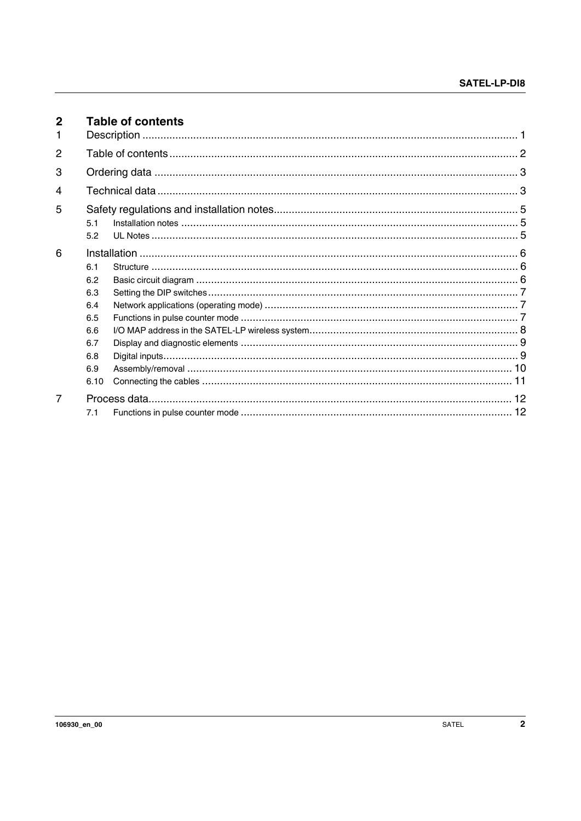<span id="page-1-0"></span>

| $\mathbf{2}$   |             | <b>Table of contents</b> |  |
|----------------|-------------|--------------------------|--|
| 2              |             |                          |  |
| 3              |             |                          |  |
| 4              |             |                          |  |
| 5              |             |                          |  |
|                | 5.1<br>5.2  |                          |  |
| 6              | 6.1         |                          |  |
|                | 6.2         |                          |  |
|                | 6.3<br>6.4  |                          |  |
|                | 6.5         |                          |  |
|                | 6.6<br>6.7  |                          |  |
|                | 6.8         |                          |  |
|                | 6.9<br>6.10 |                          |  |
| $\overline{7}$ |             |                          |  |
|                | 7.1         |                          |  |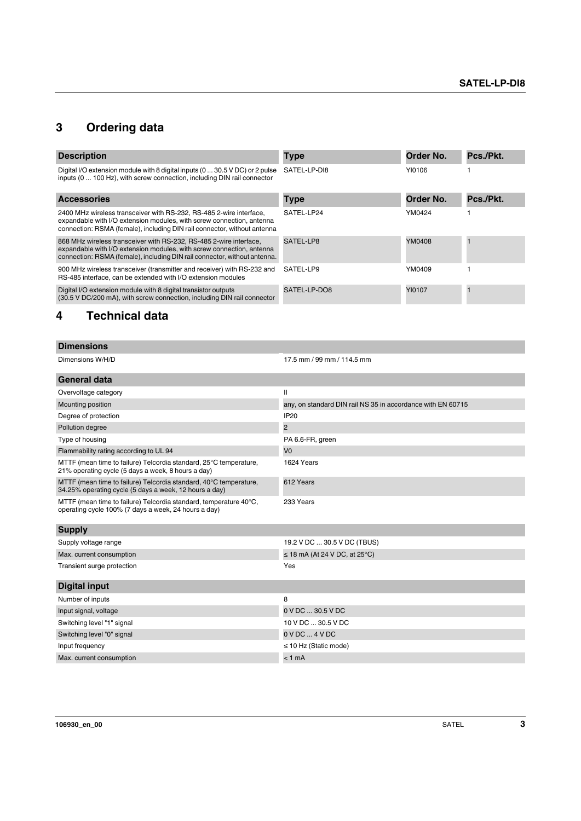## <span id="page-2-0"></span>**3 Ordering data**

| <b>Description</b>                                                                                                                                                                                                       | <b>Type</b>  | Order No. | Pcs./Pkt. |
|--------------------------------------------------------------------------------------------------------------------------------------------------------------------------------------------------------------------------|--------------|-----------|-----------|
| Digital I/O extension module with 8 digital inputs (0  30.5 V DC) or 2 pulse<br>inputs (0  100 Hz), with screw connection, including DIN rail connector                                                                  | SATEL-LP-DI8 | YI0106    |           |
| <b>Accessories</b>                                                                                                                                                                                                       | <b>Type</b>  | Order No. | Pcs./Pkt. |
| 2400 MHz wireless transceiver with RS-232, RS-485 2-wire interface,<br>expandable with I/O extension modules, with screw connection, antenna<br>connection: RSMA (female), including DIN rail connector, without antenna | SATEL-LP24   | YM0424    |           |
| 868 MHz wireless transceiver with RS-232, RS-485 2-wire interface,<br>expandable with I/O extension modules, with screw connection, antenna<br>connection: RSMA (female), including DIN rail connector, without antenna. | SATEL-LP8    | YM0408    |           |
| 900 MHz wireless transceiver (transmitter and receiver) with RS-232 and<br>RS-485 interface, can be extended with I/O extension modules                                                                                  | SATEL-LP9    | YM0409    |           |
| Digital I/O extension module with 8 digital transistor outputs<br>(30.5 V DC/200 mA), with screw connection, including DIN rail connector                                                                                | SATEL-LP-DO8 | YI0107    |           |

## **4 Technical data**

| 17.5 mm / 99 mm / 114.5 mm                                  |
|-------------------------------------------------------------|
|                                                             |
| Ш                                                           |
| any, on standard DIN rail NS 35 in accordance with EN 60715 |
| <b>IP20</b>                                                 |
| $\overline{2}$                                              |
| PA 6.6-FR, green                                            |
| V <sub>0</sub>                                              |
| 1624 Years                                                  |
| 612 Years                                                   |
| 233 Years                                                   |
|                                                             |
| 19.2 V DC  30.5 V DC (TBUS)                                 |
| $\leq$ 18 mA (At 24 V DC, at 25°C)                          |
| Yes                                                         |
|                                                             |
| 8                                                           |
| 0 V DC  30.5 V DC                                           |
| 10 V DC  30.5 V DC                                          |
| $0$ V DC $$ 4 V DC                                          |
|                                                             |
| $\leq$ 10 Hz (Static mode)                                  |
|                                                             |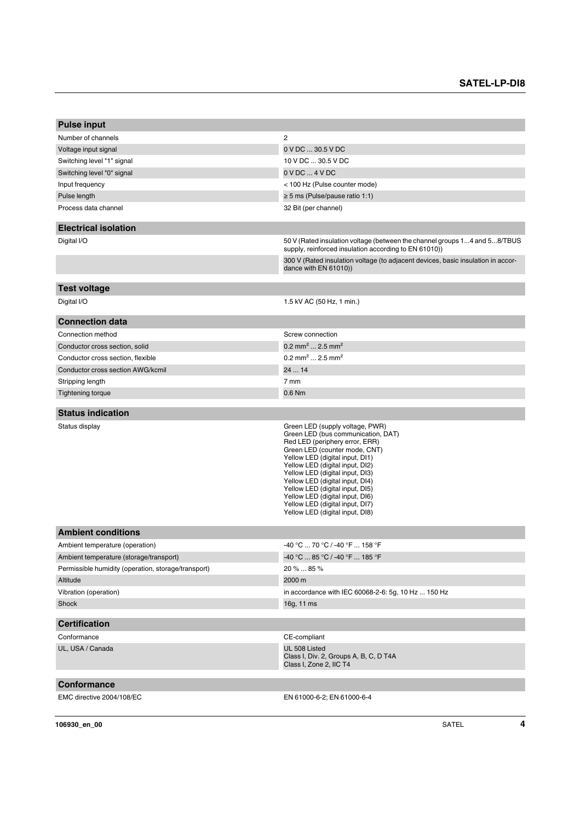| <b>Pulse input</b>                                  |                                                                                                                                                                                                                                                                                                                                                                                                                                  |
|-----------------------------------------------------|----------------------------------------------------------------------------------------------------------------------------------------------------------------------------------------------------------------------------------------------------------------------------------------------------------------------------------------------------------------------------------------------------------------------------------|
| Number of channels                                  | $\overline{c}$                                                                                                                                                                                                                                                                                                                                                                                                                   |
| Voltage input signal                                | 0 V DC  30.5 V DC                                                                                                                                                                                                                                                                                                                                                                                                                |
| Switching level "1" signal                          | 10 V DC  30.5 V DC                                                                                                                                                                                                                                                                                                                                                                                                               |
| Switching level "0" signal                          | $0$ V DC $$ 4 V DC                                                                                                                                                                                                                                                                                                                                                                                                               |
| Input frequency                                     | < 100 Hz (Pulse counter mode)                                                                                                                                                                                                                                                                                                                                                                                                    |
| Pulse length                                        | $\geq$ 5 ms (Pulse/pause ratio 1:1)                                                                                                                                                                                                                                                                                                                                                                                              |
| Process data channel                                | 32 Bit (per channel)                                                                                                                                                                                                                                                                                                                                                                                                             |
| <b>Electrical isolation</b>                         |                                                                                                                                                                                                                                                                                                                                                                                                                                  |
| Digital I/O                                         | 50 V (Rated insulation voltage (between the channel groups 14 and 58/TBUS<br>supply, reinforced insulation according to EN 61010))                                                                                                                                                                                                                                                                                               |
|                                                     | 300 V (Rated insulation voltage (to adjacent devices, basic insulation in accor-<br>dance with $EN 61010)$                                                                                                                                                                                                                                                                                                                       |
| <b>Test voltage</b>                                 |                                                                                                                                                                                                                                                                                                                                                                                                                                  |
| Digital I/O                                         | 1.5 kV AC (50 Hz, 1 min.)                                                                                                                                                                                                                                                                                                                                                                                                        |
| <b>Connection data</b>                              |                                                                                                                                                                                                                                                                                                                                                                                                                                  |
| Connection method                                   | Screw connection                                                                                                                                                                                                                                                                                                                                                                                                                 |
| Conductor cross section, solid                      | 0.2 mm <sup>2</sup> 2.5 mm <sup>2</sup>                                                                                                                                                                                                                                                                                                                                                                                          |
| Conductor cross section, flexible                   | 0.2 mm <sup>2</sup> 2.5 mm <sup>2</sup>                                                                                                                                                                                                                                                                                                                                                                                          |
| Conductor cross section AWG/kcmil                   | 24  14                                                                                                                                                                                                                                                                                                                                                                                                                           |
| Stripping length                                    | 7 mm                                                                                                                                                                                                                                                                                                                                                                                                                             |
| <b>Tightening torque</b>                            | 0.6 Nm                                                                                                                                                                                                                                                                                                                                                                                                                           |
| <b>Status indication</b>                            |                                                                                                                                                                                                                                                                                                                                                                                                                                  |
| Status display                                      | Green LED (supply voltage, PWR)<br>Green LED (bus communication, DAT)<br>Red LED (periphery error, ERR)<br>Green LED (counter mode, CNT)<br>Yellow LED (digital input, DI1)<br>Yellow LED (digital input, DI2)<br>Yellow LED (digital input, DI3)<br>Yellow LED (digital input, DI4)<br>Yellow LED (digital input, DI5)<br>Yellow LED (digital input, DI6)<br>Yellow LED (digital input, DI7)<br>Yellow LED (digital input, DI8) |
| <b>Ambient conditions</b>                           |                                                                                                                                                                                                                                                                                                                                                                                                                                  |
| Ambient temperature (operation)                     | -40 °C  70 °C / -40 °F  158 °F                                                                                                                                                                                                                                                                                                                                                                                                   |
| Ambient temperature (storage/transport)             | -40 °C  85 °C / -40 °F  185 °F                                                                                                                                                                                                                                                                                                                                                                                                   |
| Permissible humidity (operation, storage/transport) | $20\%85\%$                                                                                                                                                                                                                                                                                                                                                                                                                       |
| Altitude                                            | 2000 m                                                                                                                                                                                                                                                                                                                                                                                                                           |
| Vibration (operation)                               | in accordance with IEC 60068-2-6: 5g, 10 Hz  150 Hz                                                                                                                                                                                                                                                                                                                                                                              |
| Shock                                               | 16g, 11 ms                                                                                                                                                                                                                                                                                                                                                                                                                       |
| <b>Certification</b>                                |                                                                                                                                                                                                                                                                                                                                                                                                                                  |
| Conformance                                         | CE-compliant                                                                                                                                                                                                                                                                                                                                                                                                                     |
| UL, USA / Canada                                    | UL 508 Listed<br>Class I, Div. 2, Groups A, B, C, D T4A<br>Class I, Zone 2, IIC T4                                                                                                                                                                                                                                                                                                                                               |
| Conformance                                         |                                                                                                                                                                                                                                                                                                                                                                                                                                  |
| EMC directive 2004/108/EC                           | EN 61000-6-2; EN 61000-6-4                                                                                                                                                                                                                                                                                                                                                                                                       |
|                                                     |                                                                                                                                                                                                                                                                                                                                                                                                                                  |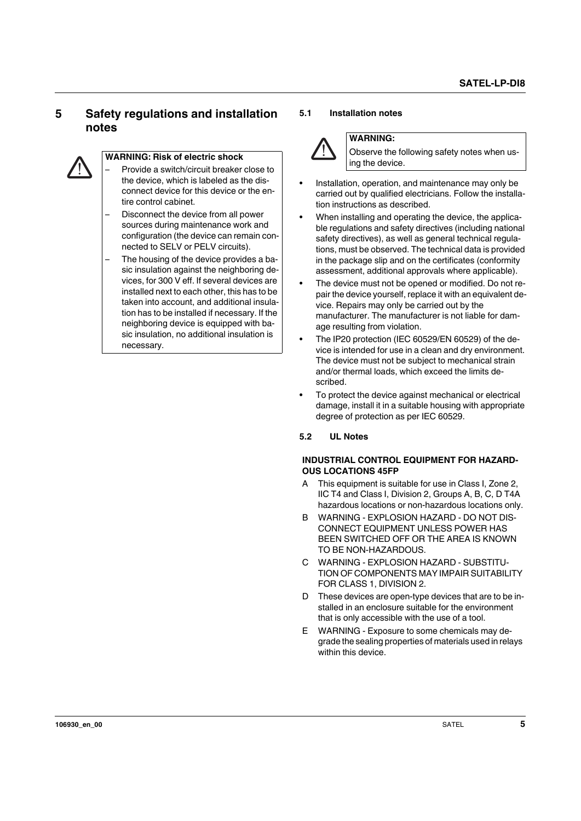## <span id="page-4-0"></span>**5 Safety regulations and installation notes**



## **WARNING: Risk of electric shock**

– Provide a switch/circuit breaker close to the device, which is labeled as the disconnect device for this device or the entire control cabinet.

- Disconnect the device from all power sources during maintenance work and configuration (the device can remain connected to SELV or PELV circuits).
- The housing of the device provides a basic insulation against the neighboring devices, for 300 V eff. If several devices are installed next to each other, this has to be taken into account, and additional insulation has to be installed if necessary. If the neighboring device is equipped with basic insulation, no additional insulation is necessary.

#### <span id="page-4-1"></span>**5.1 Installation notes**



## **WARNING:**

Observe the following safety notes when using the device.

- **•** Installation, operation, and maintenance may only be carried out by qualified electricians. Follow the installation instructions as described.
- **•** When installing and operating the device, the applicable regulations and safety directives (including national safety directives), as well as general technical regulations, must be observed. The technical data is provided in the package slip and on the certificates (conformity assessment, additional approvals where applicable).
- **•** The device must not be opened or modified. Do not repair the device yourself, replace it with an equivalent device. Repairs may only be carried out by the manufacturer. The manufacturer is not liable for damage resulting from violation.
- **•** The IP20 protection (IEC 60529/EN 60529) of the device is intended for use in a clean and dry environment. The device must not be subject to mechanical strain and/or thermal loads, which exceed the limits described.
- **•** To protect the device against mechanical or electrical damage, install it in a suitable housing with appropriate degree of protection as per IEC 60529.

#### <span id="page-4-2"></span>**5.2 UL Notes**

#### **INDUSTRIAL CONTROL EQUIPMENT FOR HAZARD-OUS LOCATIONS 45FP**

- A This equipment is suitable for use in Class I, Zone 2, IIC T4 and Class I, Division 2, Groups A, B, C, D T4A hazardous locations or non-hazardous locations only.
- B WARNING EXPLOSION HAZARD DO NOT DIS-CONNECT EQUIPMENT UNLESS POWER HAS BEEN SWITCHED OFF OR THE AREA IS KNOWN TO BE NON-HAZARDOUS.
- C WARNING EXPLOSION HAZARD SUBSTITU-TION OF COMPONENTS MAY IMPAIR SUITABILITY FOR CLASS 1, DIVISION 2.
- D These devices are open-type devices that are to be installed in an enclosure suitable for the environment that is only accessible with the use of a tool.
- E WARNING Exposure to some chemicals may degrade the sealing properties of materials used in relays within this device.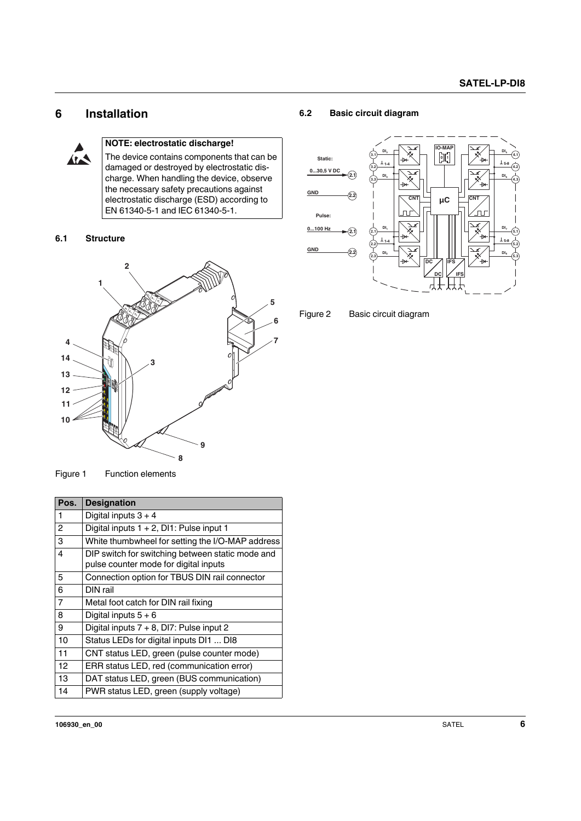## <span id="page-5-0"></span>**6 Installation**



## **NOTE: electrostatic discharge!**

The device contains components that can be damaged or destroyed by electrostatic discharge. When handling the device, observe the necessary safety precautions against electrostatic discharge (ESD) according to EN 61340-5-1 and IEC 61340-5-1.

#### <span id="page-5-1"></span>**6.1 Structure**



## <span id="page-5-2"></span>**6.2 Basic circuit diagram**





Figure 1 Function elements

| Pos.           | <b>Designation</b>                                                                        |
|----------------|-------------------------------------------------------------------------------------------|
| 1              | Digital inputs $3 + 4$                                                                    |
| 2              | Digital inputs $1 + 2$ , DI1: Pulse input 1                                               |
| 3              | White thumbwheel for setting the I/O-MAP address                                          |
| 4              | DIP switch for switching between static mode and<br>pulse counter mode for digital inputs |
| 5              | Connection option for TBUS DIN rail connector                                             |
| 6              | DIN rail                                                                                  |
| $\overline{7}$ | Metal foot catch for DIN rail fixing                                                      |
| 8              | Digital inputs $5+6$                                                                      |
| 9              | Digital inputs 7 + 8, DI7: Pulse input 2                                                  |
| 10             | Status LEDs for digital inputs DI1  DI8                                                   |
| 11             | CNT status LED, green (pulse counter mode)                                                |
| 12             | ERR status LED, red (communication error)                                                 |
| 13             | DAT status LED, green (BUS communication)                                                 |
| 14             | PWR status LED, green (supply voltage)                                                    |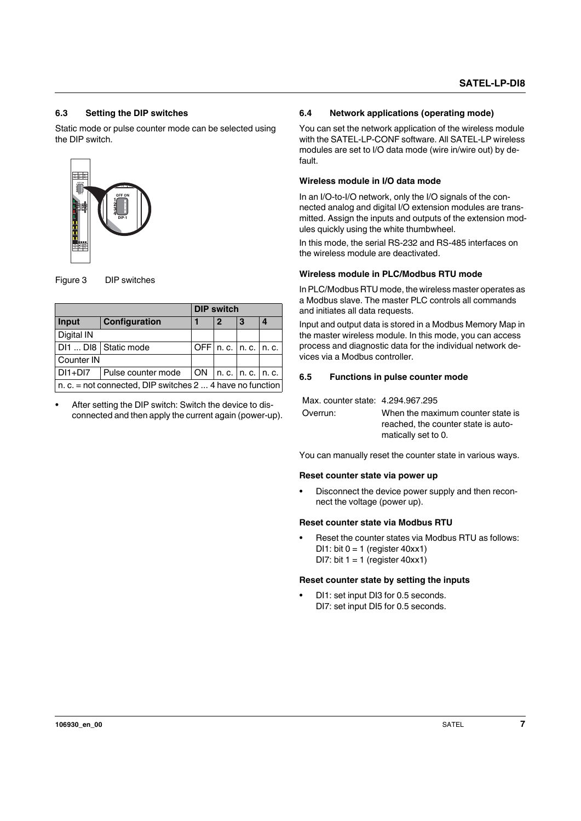#### <span id="page-6-0"></span>**6.3 Setting the DIP switches**

Static mode or pulse counter mode can be selected using the DIP switch.



Figure 3 DIP switches

|                                                                  |                        | <b>DIP switch</b> |   |                            |  |
|------------------------------------------------------------------|------------------------|-------------------|---|----------------------------|--|
| Input                                                            | Configuration          |                   | 2 | 3                          |  |
| Digital IN                                                       |                        |                   |   |                            |  |
|                                                                  | DI1  DI8   Static mode |                   |   | OFF $n.c.$   n. c.   n. c. |  |
| Counter IN                                                       |                        |                   |   |                            |  |
| $DI1+DI7$                                                        | Pulse counter mode     | <b>ON</b>         |   | n. c.   n. c.   n. c.      |  |
| n. c. = not connected, DIP switches $2 \dots 4$ have no function |                        |                   |   |                            |  |

**•** After setting the DIP switch: Switch the device to disconnected and then apply the current again (power-up).

#### <span id="page-6-1"></span>**6.4 Network applications (operating mode)**

You can set the network application of the wireless module with the SATEL-LP-CONF software. All SATEL-LP wireless modules are set to I/O data mode (wire in/wire out) by default.

#### **Wireless module in I/O data mode**

In an I/O-to-I/O network, only the I/O signals of the connected analog and digital I/O extension modules are transmitted. Assign the inputs and outputs of the extension modules quickly using the white thumbwheel.

In this mode, the serial RS-232 and RS-485 interfaces on the wireless module are deactivated.

#### **Wireless module in PLC/Modbus RTU mode**

In PLC/Modbus RTU mode, the wireless master operates as a Modbus slave. The master PLC controls all commands and initiates all data requests.

Input and output data is stored in a Modbus Memory Map in the master wireless module. In this mode, you can access process and diagnostic data for the individual network devices via a Modbus controller.

#### <span id="page-6-2"></span>**6.5 Functions in pulse counter mode**

Max. counter state: 4.294.967.295

| Overrun: | When the maximum counter state is   |
|----------|-------------------------------------|
|          | reached, the counter state is auto- |
|          | matically set to 0.                 |

You can manually reset the counter state in various ways.

#### **Reset counter state via power up**

**•** Disconnect the device power supply and then reconnect the voltage (power up).

#### **Reset counter state via Modbus RTU**

**•** Reset the counter states via Modbus RTU as follows: DI1: bit  $0 = 1$  (register 40xx1) DI7: bit  $1 = 1$  (register 40xx1)

#### **Reset counter state by setting the inputs**

**•** DI1: set input DI3 for 0.5 seconds. DI7: set input DI5 for 0.5 seconds.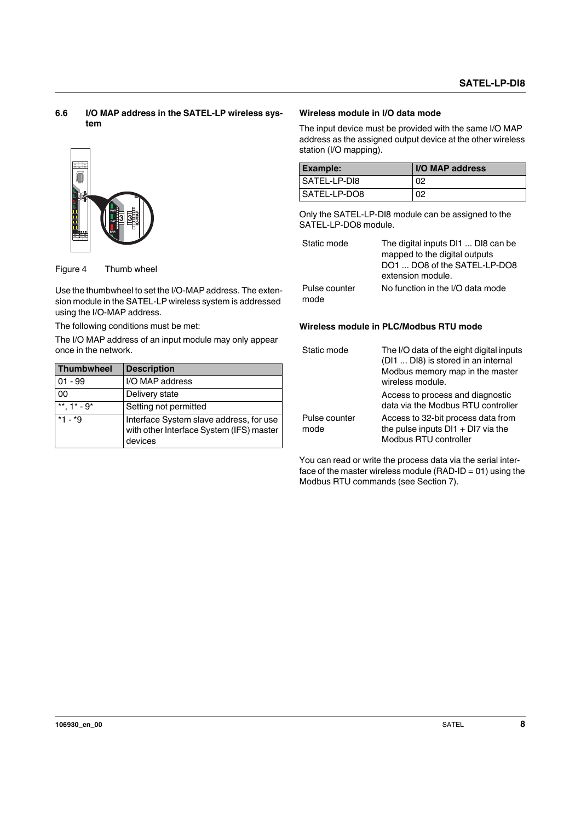#### <span id="page-7-0"></span>**6.6 I/O MAP address in the SATEL-LP wireless system**



Figure 4 Thumb wheel

Use the thumbwheel to set the I/O-MAP address. The extension module in the SATEL-LP wireless system is addressed using the I/O-MAP address.

The following conditions must be met:

The I/O MAP address of an input module may only appear once in the network.

| <b>Thumbwheel</b> | <b>Description</b>                                                                             |
|-------------------|------------------------------------------------------------------------------------------------|
| $01 - 99$         | I/O MAP address                                                                                |
| 00                | Delivery state                                                                                 |
| **. $1^*$ - $9^*$ | Setting not permitted                                                                          |
| $*1 - *9$         | Interface System slave address, for use<br>with other Interface System (IFS) master<br>devices |

## **Wireless module in I/O data mode**

The input device must be provided with the same I/O MAP address as the assigned output device at the other wireless station (I/O mapping).

| Example:     | <b>IO MAP address</b> |
|--------------|-----------------------|
| SATEL-LP-DI8 | 02                    |
| SATEL-LP-DO8 | 02                    |

Only the SATEL-LP-DI8 module can be assigned to the SATEL-LP-DO8 module.

| Static mode           | The digital inputs DI1  DI8 can be<br>mapped to the digital outputs<br>DO1  DO8 of the SATEL-LP-DO8<br>extension module. |  |
|-----------------------|--------------------------------------------------------------------------------------------------------------------------|--|
| Pulse counter<br>mode | No function in the I/O data mode                                                                                         |  |

## **Wireless module in PLC/Modbus RTU mode**

| Static mode           | The I/O data of the eight digital inputs<br>(DI1  DI8) is stored in an internal<br>Modbus memory map in the master<br>wireless module. |  |
|-----------------------|----------------------------------------------------------------------------------------------------------------------------------------|--|
|                       | Access to process and diagnostic<br>data via the Modbus RTU controller                                                                 |  |
| Pulse counter<br>mode | Access to 32-bit process data from<br>the pulse inputs $D11 + D17$ via the<br>Modbus RTU controller                                    |  |

You can read or write the process data via the serial interface of the master wireless module (RAD-ID =  $01$ ) using the Modbus RTU commands (see Section 7).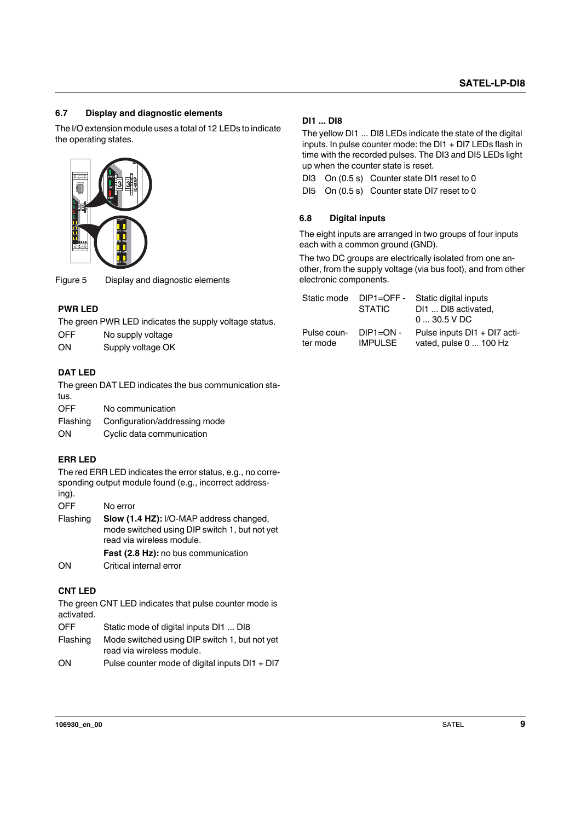## <span id="page-8-0"></span>**6.7 Display and diagnostic elements**

The I/O extension module uses a total of 12 LEDs to indicate the operating states.



Figure 5 Display and diagnostic elements

#### **PWR LED**

The green PWR LED indicates the supply voltage status.

| OFF | No supply voltage |  |
|-----|-------------------|--|
|     |                   |  |

ON Supply voltage OK

## **DAT LED**

The green DAT LED indicates the bus communication status.

| OFF | No communication |
|-----|------------------|
|     |                  |

| Configuration/addressing mode |
|-------------------------------|
|                               |

ON Cyclic data communication

## **ERR LED**

The red ERR LED indicates the error status, e.g., no corresponding output module found (e.g., incorrect addressing).

OFF No error

Flashing **Slow (1.4 HZ):** I/O-MAP address changed, mode switched using DIP switch 1, but not yet read via wireless module. **Fast (2.8 Hz):** no bus communication

ON Critical internal error

## **CNT LED**

The green CNT LED indicates that pulse counter mode is activated.

|  | OFF | Static mode of digital inputs DI1  DI8 |  |
|--|-----|----------------------------------------|--|
|--|-----|----------------------------------------|--|

- Flashing Mode switched using DIP switch 1, but not yet read via wireless module.
- ON Pulse counter mode of digital inputs DI1 + DI7

#### **DI1 ... DI8**

The yellow DI1 ... DI8 LEDs indicate the state of the digital inputs. In pulse counter mode: the DI1 + DI7 LEDs flash in time with the recorded pulses. The DI3 and DI5 LEDs light up when the counter state is reset.

DI3 On (0.5 s) Counter state DI1 reset to 0

DI5 On (0.5 s) Counter state DI7 reset to 0

#### <span id="page-8-1"></span>**6.8 Digital inputs**

The eight inputs are arranged in two groups of four inputs each with a common ground (GND).

The two DC groups are electrically isolated from one another, from the supply voltage (via bus foot), and from other electronic components.

| Static mode | $DIP1 = OFF -$ | Static digital inputs        |
|-------------|----------------|------------------------------|
|             | <b>STATIC</b>  | DI1  DI8 activated,          |
|             |                | $030.5$ V DC                 |
| Pulse coun- | $DIP1 = ON -$  | Pulse inputs DI1 + DI7 acti- |
| ter mode    | <b>IMPULSE</b> | vated, pulse 0  100 Hz       |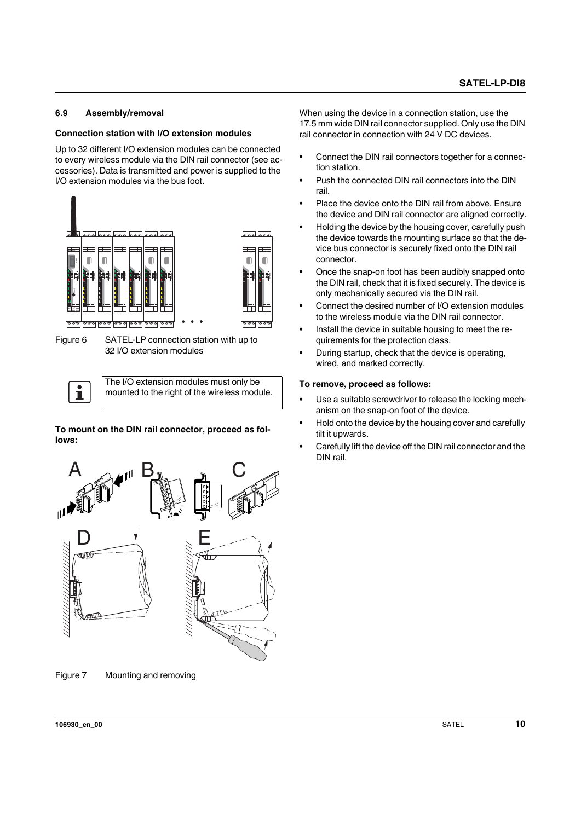#### <span id="page-9-0"></span>**6.9 Assembly/removal**

#### **Connection station with I/O extension modules**

Up to 32 different I/O extension modules can be connected to every wireless module via the DIN rail connector (see accessories). Data is transmitted and power is supplied to the I/O extension modules via the bus foot.



Figure 6 SATEL-LP connection station with up to 32 I/O extension modules

The I/O extension modules must only be mounted to the right of the wireless module.

**To mount on the DIN rail connector, proceed as follows:**



Figure 7 Mounting and removing

When using the device in a connection station, use the 17.5 mm wide DIN rail connector supplied. Only use the DIN rail connector in connection with 24 V DC devices.

- **•** Connect the DIN rail connectors together for a connection station.
- **•** Push the connected DIN rail connectors into the DIN rail.
- **•** Place the device onto the DIN rail from above. Ensure the device and DIN rail connector are aligned correctly.
- **•** Holding the device by the housing cover, carefully push the device towards the mounting surface so that the device bus connector is securely fixed onto the DIN rail connector.
- **•** Once the snap-on foot has been audibly snapped onto the DIN rail, check that it is fixed securely. The device is only mechanically secured via the DIN rail.
- **•** Connect the desired number of I/O extension modules to the wireless module via the DIN rail connector.
- **•** Install the device in suitable housing to meet the requirements for the protection class.
- **•** During startup, check that the device is operating, wired, and marked correctly.

#### **To remove, proceed as follows:**

- **•** Use a suitable screwdriver to release the locking mechanism on the snap-on foot of the device.
- **•** Hold onto the device by the housing cover and carefully tilt it upwards.
- **•** Carefully lift the device off the DIN rail connector and the DIN rail.

 $\mathbf{i}$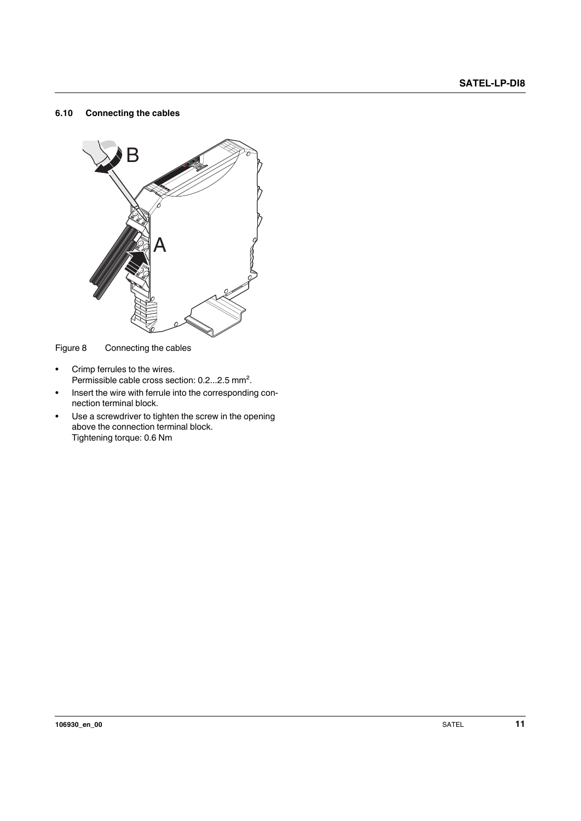#### <span id="page-10-0"></span>**6.10 Connecting the cables**



Figure 8 Connecting the cables

- **•** Crimp ferrules to the wires. Permissible cable cross section: 0.2...2.5 mm².
- **•** Insert the wire with ferrule into the corresponding connection terminal block.
- **•** Use a screwdriver to tighten the screw in the opening above the connection terminal block. Tightening torque: 0.6 Nm